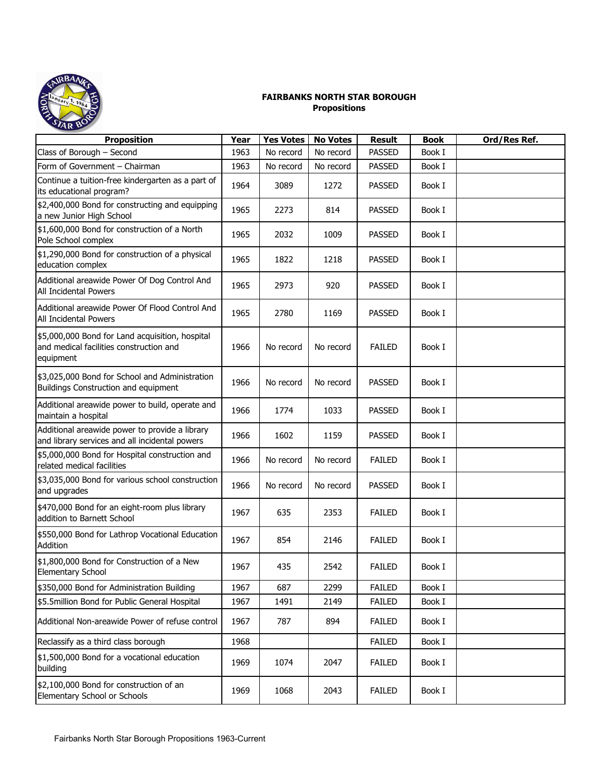

## **FAIRBANKS NORTH STAR BOROUGH Propositions**

| <b>Proposition</b>                                                                                      | Year | <b>Yes Votes</b> | <b>No Votes</b> | <b>Result</b> | <b>Book</b> | Ord/Res Ref. |
|---------------------------------------------------------------------------------------------------------|------|------------------|-----------------|---------------|-------------|--------------|
| Class of Borough - Second                                                                               | 1963 | No record        | No record       | <b>PASSED</b> | Book I      |              |
| Form of Government - Chairman                                                                           | 1963 | No record        | No record       | <b>PASSED</b> | Book I      |              |
| Continue a tuition-free kindergarten as a part of<br>its educational program?                           | 1964 | 3089             | 1272            | <b>PASSED</b> | Book I      |              |
| \$2,400,000 Bond for constructing and equipping<br>a new Junior High School                             | 1965 | 2273             | 814             | <b>PASSED</b> | Book I      |              |
| \$1,600,000 Bond for construction of a North<br>Pole School complex                                     | 1965 | 2032             | 1009            | <b>PASSED</b> | Book I      |              |
| \$1,290,000 Bond for construction of a physical<br>education complex                                    | 1965 | 1822             | 1218            | <b>PASSED</b> | Book I      |              |
| Additional areawide Power Of Dog Control And<br>All Incidental Powers                                   | 1965 | 2973             | 920             | <b>PASSED</b> | Book I      |              |
| Additional areawide Power Of Flood Control And<br>All Incidental Powers                                 | 1965 | 2780             | 1169            | <b>PASSED</b> | Book I      |              |
| \$5,000,000 Bond for Land acquisition, hospital<br>and medical facilities construction and<br>equipment | 1966 | No record        | No record       | <b>FAILED</b> | Book I      |              |
| \$3,025,000 Bond for School and Administration<br>Buildings Construction and equipment                  | 1966 | No record        | No record       | <b>PASSED</b> | Book I      |              |
| Additional areawide power to build, operate and<br>maintain a hospital                                  | 1966 | 1774             | 1033            | <b>PASSED</b> | Book I      |              |
| Additional areawide power to provide a library<br>and library services and all incidental powers        | 1966 | 1602             | 1159            | <b>PASSED</b> | Book I      |              |
| \$5,000,000 Bond for Hospital construction and<br>related medical facilities                            | 1966 | No record        | No record       | <b>FAILED</b> | Book I      |              |
| \$3,035,000 Bond for various school construction<br>and upgrades                                        | 1966 | No record        | No record       | <b>PASSED</b> | Book I      |              |
| \$470,000 Bond for an eight-room plus library<br>addition to Barnett School                             | 1967 | 635              | 2353            | <b>FAILED</b> | Book I      |              |
| \$550,000 Bond for Lathrop Vocational Education<br>Addition                                             | 1967 | 854              | 2146            | <b>FAILED</b> | Book I      |              |
| \$1,800,000 Bond for Construction of a New<br>Elementary School                                         | 1967 | 435              | 2542            | <b>FAILED</b> | Book I      |              |
| \$350,000 Bond for Administration Building                                                              | 1967 | 687              | 2299            | <b>FAILED</b> | Book I      |              |
| \$5.5million Bond for Public General Hospital                                                           | 1967 | 1491             | 2149            | <b>FAILED</b> | Book I      |              |
| Additional Non-areawide Power of refuse control                                                         | 1967 | 787              | 894             | <b>FAILED</b> | Book I      |              |
| Reclassify as a third class borough                                                                     | 1968 |                  |                 | <b>FAILED</b> | Book I      |              |
| \$1,500,000 Bond for a vocational education<br>building                                                 | 1969 | 1074             | 2047            | <b>FAILED</b> | Book I      |              |
| \$2,100,000 Bond for construction of an<br>Elementary School or Schools                                 | 1969 | 1068             | 2043            | <b>FAILED</b> | Book I      |              |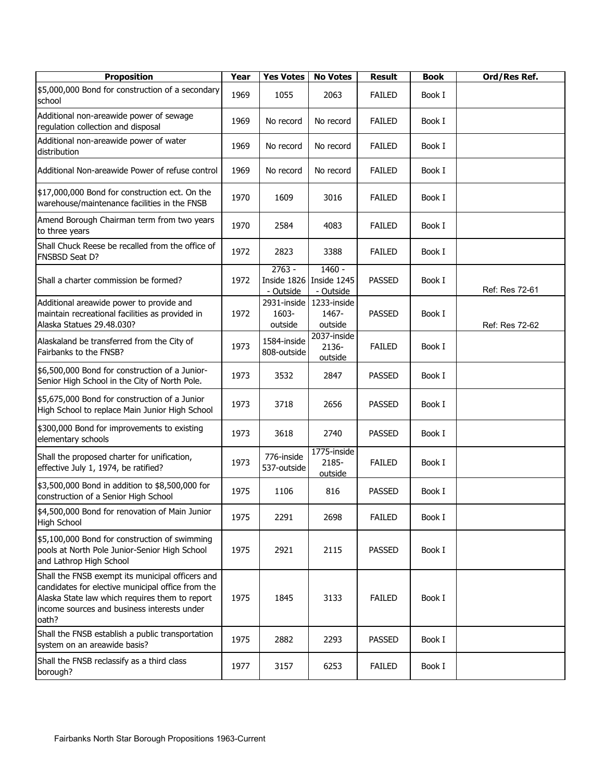| <b>Proposition</b>                                                                                                                                                                                              | Year | <b>Yes Votes</b>                     | <b>No Votes</b>                    | <b>Result</b> | <b>Book</b> | Ord/Res Ref.   |
|-----------------------------------------------------------------------------------------------------------------------------------------------------------------------------------------------------------------|------|--------------------------------------|------------------------------------|---------------|-------------|----------------|
| \$5,000,000 Bond for construction of a secondary<br>school                                                                                                                                                      | 1969 | 1055                                 | 2063                               | <b>FAILED</b> | Book I      |                |
| Additional non-areawide power of sewage<br>regulation collection and disposal                                                                                                                                   | 1969 | No record                            | No record                          | <b>FAILED</b> | Book I      |                |
| Additional non-areawide power of water<br>distribution                                                                                                                                                          | 1969 | No record                            | No record                          | <b>FAILED</b> | Book I      |                |
| Additional Non-areawide Power of refuse control                                                                                                                                                                 | 1969 | No record                            | No record                          | <b>FAILED</b> | Book I      |                |
| \$17,000,000 Bond for construction ect. On the<br>warehouse/maintenance facilities in the FNSB                                                                                                                  | 1970 | 1609                                 | 3016                               | <b>FAILED</b> | Book I      |                |
| Amend Borough Chairman term from two years<br>to three years                                                                                                                                                    | 1970 | 2584                                 | 4083                               | <b>FAILED</b> | Book I      |                |
| Shall Chuck Reese be recalled from the office of<br>FNSBSD Seat D?                                                                                                                                              | 1972 | 2823                                 | 3388                               | <b>FAILED</b> | Book I      |                |
| Shall a charter commission be formed?                                                                                                                                                                           | 1972 | $2763 -$<br>Inside 1826<br>- Outside | 1460 -<br>Inside 1245<br>- Outside | <b>PASSED</b> | Book I      | Ref: Res 72-61 |
| Additional areawide power to provide and<br>maintain recreational facilities as provided in<br>Alaska Statues 29.48.030?                                                                                        | 1972 | 2931-inside<br>1603-<br>outside      | 1233-inside<br>1467-<br>outside    | <b>PASSED</b> | Book I      | Ref: Res 72-62 |
| Alaskaland be transferred from the City of<br>Fairbanks to the FNSB?                                                                                                                                            | 1973 | 1584-inside<br>808-outside           | 2037-inside<br>2136-<br>outside    | <b>FAILED</b> | Book I      |                |
| \$6,500,000 Bond for construction of a Junior-<br>Senior High School in the City of North Pole.                                                                                                                 | 1973 | 3532                                 | 2847                               | <b>PASSED</b> | Book I      |                |
| \$5,675,000 Bond for construction of a Junior<br>High School to replace Main Junior High School                                                                                                                 | 1973 | 3718                                 | 2656                               | <b>PASSED</b> | Book I      |                |
| \$300,000 Bond for improvements to existing<br>elementary schools                                                                                                                                               | 1973 | 3618                                 | 2740                               | <b>PASSED</b> | Book I      |                |
| Shall the proposed charter for unification,<br>effective July 1, 1974, be ratified?                                                                                                                             | 1973 | 776-inside<br>537-outside            | 1775-inside<br>2185-<br>outside    | <b>FAILED</b> | Book I      |                |
| \$3,500,000 Bond in addition to \$8,500,000 for<br>construction of a Senior High School                                                                                                                         | 1975 | 1106                                 | 816                                | <b>PASSED</b> | Book I      |                |
| \$4,500,000 Bond for renovation of Main Junior<br><b>High School</b>                                                                                                                                            | 1975 | 2291                                 | 2698                               | <b>FAILED</b> | Book I      |                |
| \$5,100,000 Bond for construction of swimming<br>pools at North Pole Junior-Senior High School<br>and Lathrop High School                                                                                       | 1975 | 2921                                 | 2115                               | <b>PASSED</b> | Book I      |                |
| Shall the FNSB exempt its municipal officers and<br>candidates for elective municipal office from the<br>Alaska State law which requires them to report<br>income sources and business interests under<br>oath? | 1975 | 1845                                 | 3133                               | <b>FAILED</b> | Book I      |                |
| Shall the FNSB establish a public transportation<br>system on an areawide basis?                                                                                                                                | 1975 | 2882                                 | 2293                               | <b>PASSED</b> | Book I      |                |
| Shall the FNSB reclassify as a third class<br>borough?                                                                                                                                                          | 1977 | 3157                                 | 6253                               | <b>FAILED</b> | Book I      |                |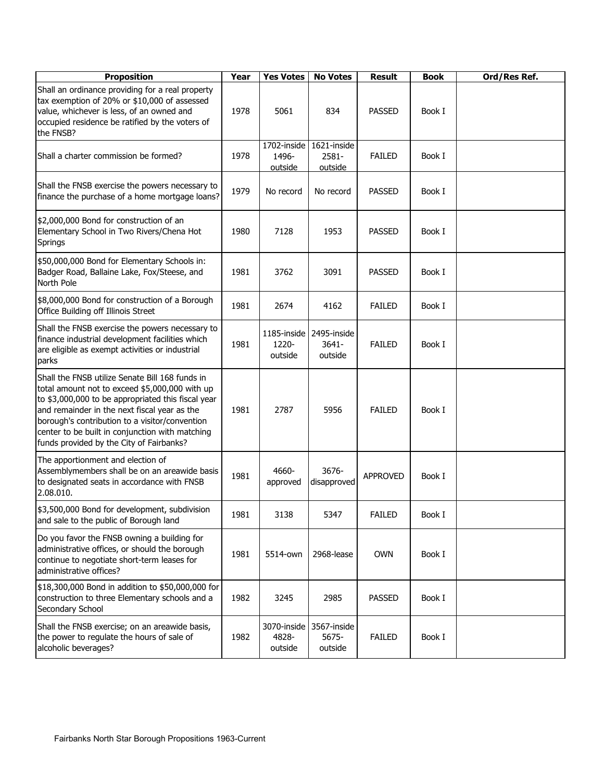| <b>Proposition</b>                                                                                                                                                                                                                                                                                                                                       | Year | <b>Yes Votes</b>                | <b>No Votes</b>                    | <b>Result</b>   | <b>Book</b> | Ord/Res Ref. |
|----------------------------------------------------------------------------------------------------------------------------------------------------------------------------------------------------------------------------------------------------------------------------------------------------------------------------------------------------------|------|---------------------------------|------------------------------------|-----------------|-------------|--------------|
| Shall an ordinance providing for a real property<br>tax exemption of 20% or \$10,000 of assessed<br>value, whichever is less, of an owned and<br>occupied residence be ratified by the voters of<br>the FNSB?                                                                                                                                            | 1978 | 5061                            | 834                                | <b>PASSED</b>   | Book I      |              |
| Shall a charter commission be formed?                                                                                                                                                                                                                                                                                                                    | 1978 | 1702-inside<br>1496-<br>outside | 1621-inside<br>2581-<br>outside    | <b>FAILED</b>   | Book I      |              |
| Shall the FNSB exercise the powers necessary to<br>finance the purchase of a home mortgage loans?                                                                                                                                                                                                                                                        | 1979 | No record                       | No record                          | <b>PASSED</b>   | Book I      |              |
| \$2,000,000 Bond for construction of an<br>Elementary School in Two Rivers/Chena Hot<br>Springs                                                                                                                                                                                                                                                          | 1980 | 7128                            | 1953                               | <b>PASSED</b>   | Book I      |              |
| \$50,000,000 Bond for Elementary Schools in:<br>Badger Road, Ballaine Lake, Fox/Steese, and<br>North Pole                                                                                                                                                                                                                                                | 1981 | 3762                            | 3091                               | <b>PASSED</b>   | Book I      |              |
| \$8,000,000 Bond for construction of a Borough<br>Office Building off Illinois Street                                                                                                                                                                                                                                                                    | 1981 | 2674                            | 4162                               | <b>FAILED</b>   | Book I      |              |
| Shall the FNSB exercise the powers necessary to<br>finance industrial development facilities which<br>are eligible as exempt activities or industrial<br>parks                                                                                                                                                                                           | 1981 | 1185-inside<br>1220-<br>outside | 2495-inside<br>$3641 -$<br>outside | <b>FAILED</b>   | Book I      |              |
| Shall the FNSB utilize Senate Bill 168 funds in<br>total amount not to exceed \$5,000,000 with up<br>to \$3,000,000 to be appropriated this fiscal year<br>and remainder in the next fiscal year as the<br>borough's contribution to a visitor/convention<br>center to be built in conjunction with matching<br>funds provided by the City of Fairbanks? | 1981 | 2787                            | 5956                               | <b>FAILED</b>   | Book I      |              |
| The apportionment and election of<br>Assemblymembers shall be on an areawide basis<br>to designated seats in accordance with FNSB<br>2.08.010.                                                                                                                                                                                                           | 1981 | 4660-<br>approved               | 3676-<br>disapproved               | <b>APPROVED</b> | Book I      |              |
| \$3,500,000 Bond for development, subdivision<br>and sale to the public of Borough land                                                                                                                                                                                                                                                                  | 1981 | 3138                            | 5347                               | <b>FAILED</b>   | Book I      |              |
| Do you favor the FNSB owning a building for<br>administrative offices, or should the borough<br>continue to negotiate short-term leases for<br>administrative offices?                                                                                                                                                                                   | 1981 | 5514-own                        | 2968-lease                         | <b>OWN</b>      | Book I      |              |
| \$18,300,000 Bond in addition to \$50,000,000 for<br>construction to three Elementary schools and a<br>Secondary School                                                                                                                                                                                                                                  | 1982 | 3245                            | 2985                               | <b>PASSED</b>   | Book I      |              |
| Shall the FNSB exercise; on an areawide basis,<br>the power to regulate the hours of sale of<br>alcoholic beverages?                                                                                                                                                                                                                                     | 1982 | 3070-inside<br>4828-<br>outside | 3567-inside<br>5675-<br>outside    | <b>FAILED</b>   | Book I      |              |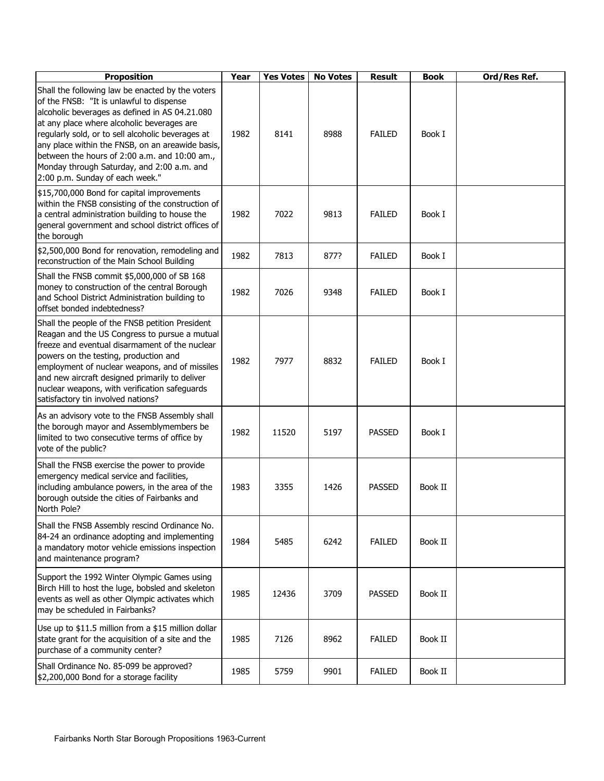| <b>Proposition</b>                                                                                                                                                                                                                                                                                                                                                                                                                      | Year | <b>Yes Votes</b> | <b>No Votes</b> | <b>Result</b> | <b>Book</b> | Ord/Res Ref. |
|-----------------------------------------------------------------------------------------------------------------------------------------------------------------------------------------------------------------------------------------------------------------------------------------------------------------------------------------------------------------------------------------------------------------------------------------|------|------------------|-----------------|---------------|-------------|--------------|
| Shall the following law be enacted by the voters<br>of the FNSB: "It is unlawful to dispense<br>alcoholic beverages as defined in AS 04.21.080<br>at any place where alcoholic beverages are<br>regularly sold, or to sell alcoholic beverages at<br>any place within the FNSB, on an areawide basis,<br>between the hours of 2:00 a.m. and 10:00 am.,<br>Monday through Saturday, and 2:00 a.m. and<br>2:00 p.m. Sunday of each week." | 1982 | 8141             | 8988            | <b>FAILED</b> | Book I      |              |
| \$15,700,000 Bond for capital improvements<br>within the FNSB consisting of the construction of<br>a central administration building to house the<br>general government and school district offices of<br>the borough                                                                                                                                                                                                                   | 1982 | 7022             | 9813            | <b>FAILED</b> | Book I      |              |
| \$2,500,000 Bond for renovation, remodeling and<br>reconstruction of the Main School Building                                                                                                                                                                                                                                                                                                                                           | 1982 | 7813             | 877?            | <b>FAILED</b> | Book I      |              |
| Shall the FNSB commit \$5,000,000 of SB 168<br>money to construction of the central Borough<br>and School District Administration building to<br>offset bonded indebtedness?                                                                                                                                                                                                                                                            | 1982 | 7026             | 9348            | <b>FAILED</b> | Book I      |              |
| Shall the people of the FNSB petition President<br>Reagan and the US Congress to pursue a mutual<br>freeze and eventual disarmament of the nuclear<br>powers on the testing, production and<br>employment of nuclear weapons, and of missiles<br>and new aircraft designed primarily to deliver<br>nuclear weapons, with verification safeguards<br>satisfactory tin involved nations?                                                  | 1982 | 7977             | 8832            | <b>FAILED</b> | Book I      |              |
| As an advisory vote to the FNSB Assembly shall<br>the borough mayor and Assemblymembers be<br>limited to two consecutive terms of office by<br>vote of the public?                                                                                                                                                                                                                                                                      | 1982 | 11520            | 5197            | <b>PASSED</b> | Book I      |              |
| Shall the FNSB exercise the power to provide<br>emergency medical service and facilities,<br>including ambulance powers, in the area of the<br>borough outside the cities of Fairbanks and<br>North Pole?                                                                                                                                                                                                                               | 1983 | 3355             | 1426            | <b>PASSED</b> | Book II     |              |
| Shall the FNSB Assembly rescind Ordinance No.<br>84-24 an ordinance adopting and implementing<br>a mandatory motor vehicle emissions inspection<br>and maintenance program?                                                                                                                                                                                                                                                             | 1984 | 5485             | 6242            | <b>FAILED</b> | Book II     |              |
| Support the 1992 Winter Olympic Games using<br>Birch Hill to host the luge, bobsled and skeleton<br>events as well as other Olympic activates which<br>may be scheduled in Fairbanks?                                                                                                                                                                                                                                                   | 1985 | 12436            | 3709            | <b>PASSED</b> | Book II     |              |
| Use up to \$11.5 million from a \$15 million dollar<br>state grant for the acquisition of a site and the<br>purchase of a community center?                                                                                                                                                                                                                                                                                             | 1985 | 7126             | 8962            | <b>FAILED</b> | Book II     |              |
| Shall Ordinance No. 85-099 be approved?<br>\$2,200,000 Bond for a storage facility                                                                                                                                                                                                                                                                                                                                                      | 1985 | 5759             | 9901            | <b>FAILED</b> | Book II     |              |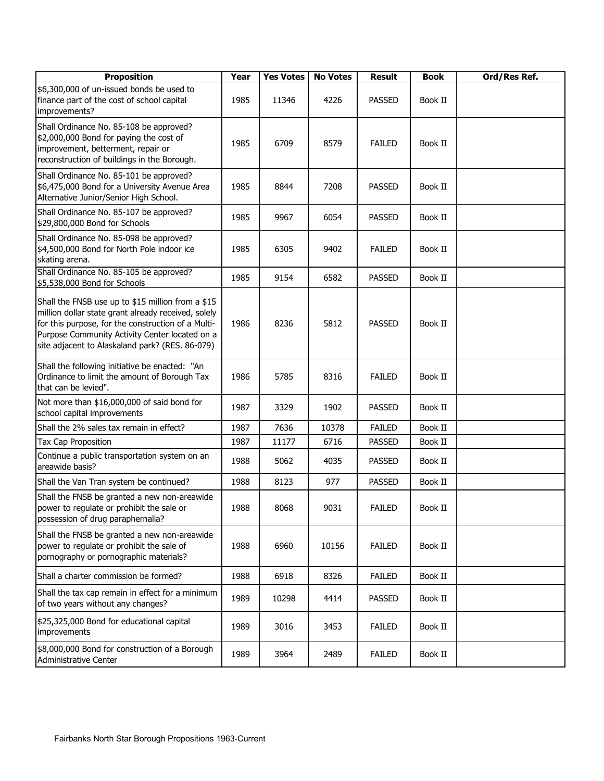| <b>Proposition</b>                                                                                                                                                                                                                                                  | Year | <b>Yes Votes</b> | <b>No Votes</b> | <b>Result</b> | <b>Book</b> | Ord/Res Ref. |
|---------------------------------------------------------------------------------------------------------------------------------------------------------------------------------------------------------------------------------------------------------------------|------|------------------|-----------------|---------------|-------------|--------------|
| \$6,300,000 of un-issued bonds be used to<br>finance part of the cost of school capital<br>improvements?                                                                                                                                                            | 1985 | 11346            | 4226            | <b>PASSED</b> | Book II     |              |
| Shall Ordinance No. 85-108 be approved?<br>\$2,000,000 Bond for paying the cost of<br>improvement, betterment, repair or<br>reconstruction of buildings in the Borough.                                                                                             | 1985 | 6709             | 8579            | <b>FAILED</b> | Book II     |              |
| Shall Ordinance No. 85-101 be approved?<br>\$6,475,000 Bond for a University Avenue Area<br>Alternative Junior/Senior High School.                                                                                                                                  | 1985 | 8844             | 7208            | <b>PASSED</b> | Book II     |              |
| Shall Ordinance No. 85-107 be approved?<br>\$29,800,000 Bond for Schools                                                                                                                                                                                            | 1985 | 9967             | 6054            | <b>PASSED</b> | Book II     |              |
| Shall Ordinance No. 85-098 be approved?<br>\$4,500,000 Bond for North Pole indoor ice<br>skating arena.                                                                                                                                                             | 1985 | 6305             | 9402            | <b>FAILED</b> | Book II     |              |
| Shall Ordinance No. 85-105 be approved?<br>\$5,538,000 Bond for Schools                                                                                                                                                                                             | 1985 | 9154             | 6582            | <b>PASSED</b> | Book II     |              |
| Shall the FNSB use up to \$15 million from a \$15<br>million dollar state grant already received, solely<br>for this purpose, for the construction of a Multi-<br>Purpose Community Activity Center located on a<br>site adjacent to Alaskaland park? (RES. 86-079) | 1986 | 8236             | 5812            | <b>PASSED</b> | Book II     |              |
| Shall the following initiative be enacted: "An<br>Ordinance to limit the amount of Borough Tax<br>that can be levied".                                                                                                                                              | 1986 | 5785             | 8316            | <b>FAILED</b> | Book II     |              |
| Not more than \$16,000,000 of said bond for<br>school capital improvements                                                                                                                                                                                          | 1987 | 3329             | 1902            | <b>PASSED</b> | Book II     |              |
| Shall the 2% sales tax remain in effect?                                                                                                                                                                                                                            | 1987 | 7636             | 10378           | <b>FAILED</b> | Book II     |              |
| Tax Cap Proposition                                                                                                                                                                                                                                                 | 1987 | 11177            | 6716            | <b>PASSED</b> | Book II     |              |
| Continue a public transportation system on an<br>areawide basis?                                                                                                                                                                                                    | 1988 | 5062             | 4035            | <b>PASSED</b> | Book II     |              |
| Shall the Van Tran system be continued?                                                                                                                                                                                                                             | 1988 | 8123             | 977             | <b>PASSED</b> | Book II     |              |
| Shall the FNSB be granted a new non-areawide<br>power to regulate or prohibit the sale or<br>possession of drug paraphernalia?                                                                                                                                      | 1988 | 8068             | 9031            | <b>FAILED</b> | Book II     |              |
| Shall the FNSB be granted a new non-areawide<br>power to regulate or prohibit the sale of<br>pornography or pornographic materials?                                                                                                                                 | 1988 | 6960             | 10156           | <b>FAILED</b> | Book II     |              |
| Shall a charter commission be formed?                                                                                                                                                                                                                               | 1988 | 6918             | 8326            | <b>FAILED</b> | Book II     |              |
| Shall the tax cap remain in effect for a minimum<br>of two years without any changes?                                                                                                                                                                               | 1989 | 10298            | 4414            | <b>PASSED</b> | Book II     |              |
| \$25,325,000 Bond for educational capital<br>improvements                                                                                                                                                                                                           | 1989 | 3016             | 3453            | <b>FAILED</b> | Book II     |              |
| \$8,000,000 Bond for construction of a Borough<br>Administrative Center                                                                                                                                                                                             | 1989 | 3964             | 2489            | <b>FAILED</b> | Book II     |              |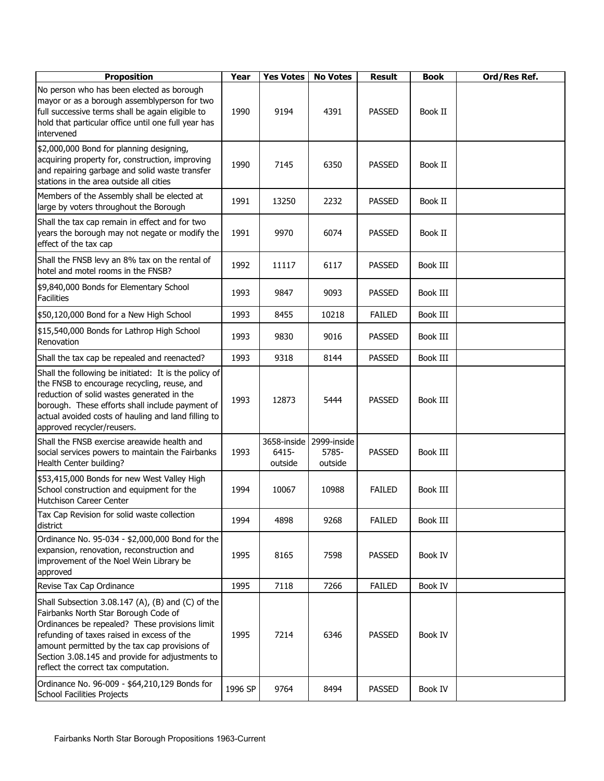| <b>Proposition</b>                                                                                                                                                                                                                                                                                                                    | Year    | <b>Yes Votes</b>                | <b>No Votes</b>                 | <b>Result</b> | <b>Book</b> | Ord/Res Ref. |
|---------------------------------------------------------------------------------------------------------------------------------------------------------------------------------------------------------------------------------------------------------------------------------------------------------------------------------------|---------|---------------------------------|---------------------------------|---------------|-------------|--------------|
| No person who has been elected as borough<br>mayor or as a borough assemblyperson for two<br>full successive terms shall be again eligible to<br>hold that particular office until one full year has<br>intervened                                                                                                                    | 1990    | 9194                            | 4391                            | <b>PASSED</b> | Book II     |              |
| \$2,000,000 Bond for planning designing,<br>acquiring property for, construction, improving<br>and repairing garbage and solid waste transfer<br>stations in the area outside all cities                                                                                                                                              | 1990    | 7145                            | 6350                            | <b>PASSED</b> | Book II     |              |
| Members of the Assembly shall be elected at<br>large by voters throughout the Borough                                                                                                                                                                                                                                                 | 1991    | 13250                           | 2232                            | <b>PASSED</b> | Book II     |              |
| Shall the tax cap remain in effect and for two<br>years the borough may not negate or modify the<br>effect of the tax cap                                                                                                                                                                                                             | 1991    | 9970                            | 6074                            | <b>PASSED</b> | Book II     |              |
| Shall the FNSB levy an 8% tax on the rental of<br>hotel and motel rooms in the FNSB?                                                                                                                                                                                                                                                  | 1992    | 11117                           | 6117                            | <b>PASSED</b> | Book III    |              |
| \$9,840,000 Bonds for Elementary School<br><b>Facilities</b>                                                                                                                                                                                                                                                                          | 1993    | 9847                            | 9093                            | <b>PASSED</b> | Book III    |              |
| \$50,120,000 Bond for a New High School                                                                                                                                                                                                                                                                                               | 1993    | 8455                            | 10218                           | <b>FAILED</b> | Book III    |              |
| \$15,540,000 Bonds for Lathrop High School<br>Renovation                                                                                                                                                                                                                                                                              | 1993    | 9830                            | 9016                            | <b>PASSED</b> | Book III    |              |
| Shall the tax cap be repealed and reenacted?                                                                                                                                                                                                                                                                                          | 1993    | 9318                            | 8144                            | <b>PASSED</b> | Book III    |              |
| Shall the following be initiated: It is the policy of<br>the FNSB to encourage recycling, reuse, and<br>reduction of solid wastes generated in the<br>borough. These efforts shall include payment of<br>actual avoided costs of hauling and land filling to<br>approved recycler/reusers.                                            | 1993    | 12873                           | 5444                            | <b>PASSED</b> | Book III    |              |
| Shall the FNSB exercise areawide health and<br>social services powers to maintain the Fairbanks<br>Health Center building?                                                                                                                                                                                                            | 1993    | 3658-inside<br>6415-<br>outside | 2999-inside<br>5785-<br>outside | <b>PASSED</b> | Book III    |              |
| \$53,415,000 Bonds for new West Valley High<br>School construction and equipment for the<br>Hutchison Career Center                                                                                                                                                                                                                   | 1994    | 10067                           | 10988                           | <b>FAILED</b> | Book III    |              |
| Tax Cap Revision for solid waste collection<br>district                                                                                                                                                                                                                                                                               | 1994    | 4898                            | 9268                            | <b>FAILED</b> | Book III    |              |
| Ordinance No. 95-034 - \$2,000,000 Bond for the<br>expansion, renovation, reconstruction and<br>improvement of the Noel Wein Library be<br>approved                                                                                                                                                                                   | 1995    | 8165                            | 7598                            | <b>PASSED</b> | Book IV     |              |
| Revise Tax Cap Ordinance                                                                                                                                                                                                                                                                                                              | 1995    | 7118                            | 7266                            | <b>FAILED</b> | Book IV     |              |
| Shall Subsection 3.08.147 (A), (B) and (C) of the<br>Fairbanks North Star Borough Code of<br>Ordinances be repealed? These provisions limit<br>refunding of taxes raised in excess of the<br>amount permitted by the tax cap provisions of<br>Section 3.08.145 and provide for adjustments to<br>reflect the correct tax computation. | 1995    | 7214                            | 6346                            | <b>PASSED</b> | Book IV     |              |
| Ordinance No. 96-009 - \$64,210,129 Bonds for<br><b>School Facilities Projects</b>                                                                                                                                                                                                                                                    | 1996 SP | 9764                            | 8494                            | <b>PASSED</b> | Book IV     |              |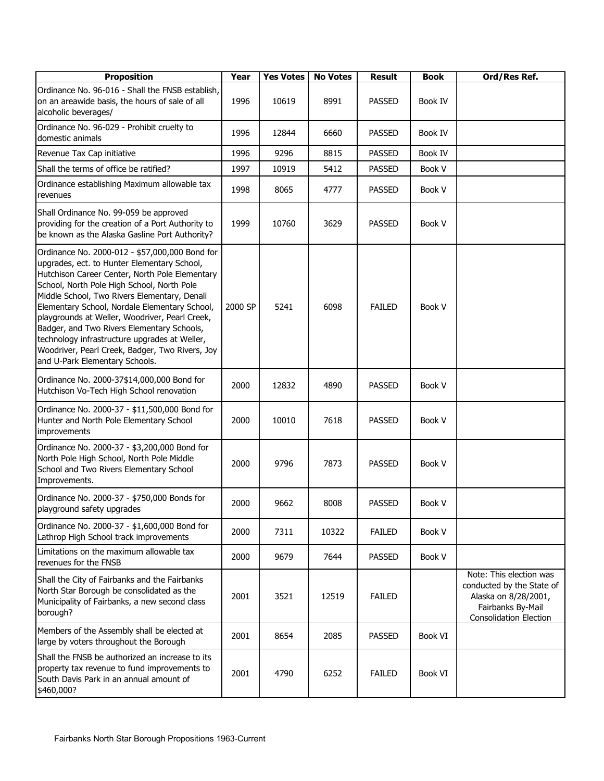| <b>Proposition</b>                                                                                                                                                                                                                                                                                                                                                                                                                                                                                                                   | Year    | <b>Yes Votes</b> | <b>No Votes</b> | <b>Result</b> | <b>Book</b> | Ord/Res Ref.                                                                                                                       |
|--------------------------------------------------------------------------------------------------------------------------------------------------------------------------------------------------------------------------------------------------------------------------------------------------------------------------------------------------------------------------------------------------------------------------------------------------------------------------------------------------------------------------------------|---------|------------------|-----------------|---------------|-------------|------------------------------------------------------------------------------------------------------------------------------------|
| Ordinance No. 96-016 - Shall the FNSB establish,<br>on an areawide basis, the hours of sale of all<br>alcoholic beverages/                                                                                                                                                                                                                                                                                                                                                                                                           | 1996    | 10619            | 8991            | <b>PASSED</b> | Book IV     |                                                                                                                                    |
| Ordinance No. 96-029 - Prohibit cruelty to<br>domestic animals                                                                                                                                                                                                                                                                                                                                                                                                                                                                       | 1996    | 12844            | 6660            | <b>PASSED</b> | Book IV     |                                                                                                                                    |
| Revenue Tax Cap initiative                                                                                                                                                                                                                                                                                                                                                                                                                                                                                                           | 1996    | 9296             | 8815            | <b>PASSED</b> | Book IV     |                                                                                                                                    |
| Shall the terms of office be ratified?                                                                                                                                                                                                                                                                                                                                                                                                                                                                                               | 1997    | 10919            | 5412            | <b>PASSED</b> | Book V      |                                                                                                                                    |
| Ordinance establishing Maximum allowable tax<br>revenues                                                                                                                                                                                                                                                                                                                                                                                                                                                                             | 1998    | 8065             | 4777            | <b>PASSED</b> | Book V      |                                                                                                                                    |
| Shall Ordinance No. 99-059 be approved<br>providing for the creation of a Port Authority to<br>be known as the Alaska Gasline Port Authority?                                                                                                                                                                                                                                                                                                                                                                                        | 1999    | 10760            | 3629            | <b>PASSED</b> | Book V      |                                                                                                                                    |
| Ordinance No. 2000-012 - \$57,000,000 Bond for<br>upgrades, ect. to Hunter Elementary School,<br>Hutchison Career Center, North Pole Elementary<br>School, North Pole High School, North Pole<br>Middle School, Two Rivers Elementary, Denali<br>Elementary School, Nordale Elementary School,<br>playgrounds at Weller, Woodriver, Pearl Creek,<br>Badger, and Two Rivers Elementary Schools,<br>technology infrastructure upgrades at Weller,<br>Woodriver, Pearl Creek, Badger, Two Rivers, Joy<br>and U-Park Elementary Schools. | 2000 SP | 5241             | 6098            | <b>FAILED</b> | Book V      |                                                                                                                                    |
| Ordinance No. 2000-37\$14,000,000 Bond for<br>Hutchison Vo-Tech High School renovation                                                                                                                                                                                                                                                                                                                                                                                                                                               | 2000    | 12832            | 4890            | <b>PASSED</b> | Book V      |                                                                                                                                    |
| Ordinance No. 2000-37 - \$11,500,000 Bond for<br>Hunter and North Pole Elementary School<br>improvements                                                                                                                                                                                                                                                                                                                                                                                                                             | 2000    | 10010            | 7618            | <b>PASSED</b> | Book V      |                                                                                                                                    |
| Ordinance No. 2000-37 - \$3,200,000 Bond for<br>North Pole High School, North Pole Middle<br>School and Two Rivers Elementary School<br>Improvements.                                                                                                                                                                                                                                                                                                                                                                                | 2000    | 9796             | 7873            | <b>PASSED</b> | Book V      |                                                                                                                                    |
| Ordinance No. 2000-37 - \$750,000 Bonds for<br>playground safety upgrades                                                                                                                                                                                                                                                                                                                                                                                                                                                            | 2000    | 9662             | 8008            | <b>PASSED</b> | Book V      |                                                                                                                                    |
| Ordinance No. 2000-37 - \$1,600,000 Bond for<br>Lathrop High School track improvements                                                                                                                                                                                                                                                                                                                                                                                                                                               | 2000    | 7311             | 10322           | <b>FAILED</b> | Book V      |                                                                                                                                    |
| Limitations on the maximum allowable tax<br>revenues for the FNSB                                                                                                                                                                                                                                                                                                                                                                                                                                                                    | 2000    | 9679             | 7644            | <b>PASSED</b> | Book V      |                                                                                                                                    |
| Shall the City of Fairbanks and the Fairbanks<br>North Star Borough be consolidated as the<br>Municipality of Fairbanks, a new second class<br>borough?                                                                                                                                                                                                                                                                                                                                                                              | 2001    | 3521             | 12519           | <b>FAILED</b> |             | Note: This election was<br>conducted by the State of<br>Alaska on 8/28/2001,<br>Fairbanks By-Mail<br><b>Consolidation Election</b> |
| Members of the Assembly shall be elected at<br>large by voters throughout the Borough                                                                                                                                                                                                                                                                                                                                                                                                                                                | 2001    | 8654             | 2085            | <b>PASSED</b> | Book VI     |                                                                                                                                    |
| Shall the FNSB be authorized an increase to its<br>property tax revenue to fund improvements to<br>South Davis Park in an annual amount of<br>\$460,000?                                                                                                                                                                                                                                                                                                                                                                             | 2001    | 4790             | 6252            | <b>FAILED</b> | Book VI     |                                                                                                                                    |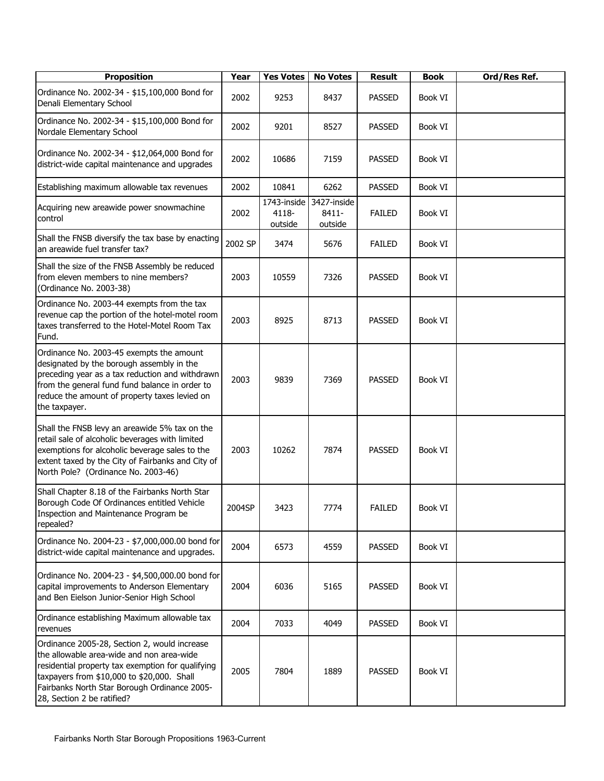| <b>Proposition</b>                                                                                                                                                                                                                                                         | Year    | <b>Yes Votes</b>                | <b>No Votes</b>                 | <b>Result</b> | <b>Book</b> | Ord/Res Ref. |
|----------------------------------------------------------------------------------------------------------------------------------------------------------------------------------------------------------------------------------------------------------------------------|---------|---------------------------------|---------------------------------|---------------|-------------|--------------|
| Ordinance No. 2002-34 - \$15,100,000 Bond for<br>Denali Elementary School                                                                                                                                                                                                  | 2002    | 9253                            | 8437                            | <b>PASSED</b> | Book VI     |              |
| Ordinance No. 2002-34 - \$15,100,000 Bond for<br>Nordale Elementary School                                                                                                                                                                                                 | 2002    | 9201                            | 8527                            | <b>PASSED</b> | Book VI     |              |
| Ordinance No. 2002-34 - \$12,064,000 Bond for<br>district-wide capital maintenance and upgrades                                                                                                                                                                            | 2002    | 10686                           | 7159                            | <b>PASSED</b> | Book VI     |              |
| Establishing maximum allowable tax revenues                                                                                                                                                                                                                                | 2002    | 10841                           | 6262                            | <b>PASSED</b> | Book VI     |              |
| Acquiring new areawide power snowmachine<br>control                                                                                                                                                                                                                        | 2002    | 1743-inside<br>4118-<br>outside | 3427-inside<br>8411-<br>outside | <b>FAILED</b> | Book VI     |              |
| Shall the FNSB diversify the tax base by enacting<br>an areawide fuel transfer tax?                                                                                                                                                                                        | 2002 SP | 3474                            | 5676                            | <b>FAILED</b> | Book VI     |              |
| Shall the size of the FNSB Assembly be reduced<br>from eleven members to nine members?<br>(Ordinance No. 2003-38)                                                                                                                                                          | 2003    | 10559                           | 7326                            | <b>PASSED</b> | Book VI     |              |
| Ordinance No. 2003-44 exempts from the tax<br>revenue cap the portion of the hotel-motel room<br>taxes transferred to the Hotel-Motel Room Tax<br>Fund.                                                                                                                    | 2003    | 8925                            | 8713                            | <b>PASSED</b> | Book VI     |              |
| Ordinance No. 2003-45 exempts the amount<br>designated by the borough assembly in the<br>preceding year as a tax reduction and withdrawn<br>from the general fund fund balance in order to<br>reduce the amount of property taxes levied on<br>the taxpayer.               | 2003    | 9839                            | 7369                            | <b>PASSED</b> | Book VI     |              |
| Shall the FNSB levy an areawide 5% tax on the<br>retail sale of alcoholic beverages with limited<br>exemptions for alcoholic beverage sales to the<br>extent taxed by the City of Fairbanks and City of<br>North Pole? (Ordinance No. 2003-46)                             | 2003    | 10262                           | 7874                            | <b>PASSED</b> | Book VI     |              |
| Shall Chapter 8.18 of the Fairbanks North Star<br>Borough Code Of Ordinances entitled Vehicle<br>Inspection and Maintenance Program be<br>repealed?                                                                                                                        | 2004SP  | 3423                            | 7774                            | <b>FAILED</b> | Book VI     |              |
| Ordinance No. 2004-23 - \$7,000,000.00 bond for<br>district-wide capital maintenance and upgrades.                                                                                                                                                                         | 2004    | 6573                            | 4559                            | <b>PASSED</b> | Book VI     |              |
| Ordinance No. 2004-23 - \$4,500,000.00 bond for<br>capital improvements to Anderson Elementary<br>and Ben Eielson Junior-Senior High School                                                                                                                                | 2004    | 6036                            | 5165                            | <b>PASSED</b> | Book VI     |              |
| Ordinance establishing Maximum allowable tax<br>revenues                                                                                                                                                                                                                   | 2004    | 7033                            | 4049                            | <b>PASSED</b> | Book VI     |              |
| Ordinance 2005-28, Section 2, would increase<br>the allowable area-wide and non area-wide<br>residential property tax exemption for qualifying<br>taxpayers from \$10,000 to \$20,000. Shall<br>Fairbanks North Star Borough Ordinance 2005-<br>28, Section 2 be ratified? | 2005    | 7804                            | 1889                            | <b>PASSED</b> | Book VI     |              |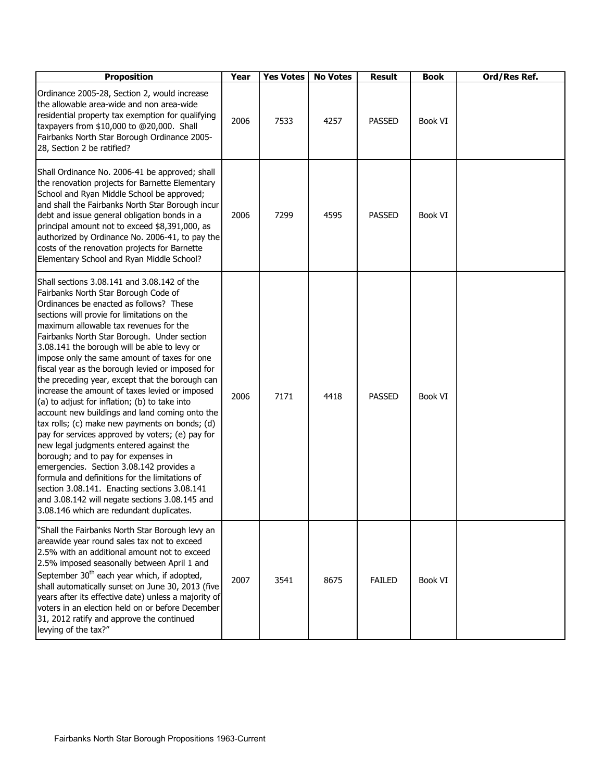| <b>Proposition</b>                                                                                                                                                                                                                                                                                                                                                                                                                                                                                                                                                                                                                                                                                                                                                                                                                                                                                                                                                                                                                                                     | Year | <b>Yes Votes</b> | <b>No Votes</b> | <b>Result</b> | <b>Book</b> | Ord/Res Ref. |
|------------------------------------------------------------------------------------------------------------------------------------------------------------------------------------------------------------------------------------------------------------------------------------------------------------------------------------------------------------------------------------------------------------------------------------------------------------------------------------------------------------------------------------------------------------------------------------------------------------------------------------------------------------------------------------------------------------------------------------------------------------------------------------------------------------------------------------------------------------------------------------------------------------------------------------------------------------------------------------------------------------------------------------------------------------------------|------|------------------|-----------------|---------------|-------------|--------------|
| Ordinance 2005-28, Section 2, would increase<br>the allowable area-wide and non area-wide<br>residential property tax exemption for qualifying<br>taxpayers from \$10,000 to @20,000. Shall<br>Fairbanks North Star Borough Ordinance 2005-<br>28, Section 2 be ratified?                                                                                                                                                                                                                                                                                                                                                                                                                                                                                                                                                                                                                                                                                                                                                                                              | 2006 | 7533             | 4257            | <b>PASSED</b> | Book VI     |              |
| Shall Ordinance No. 2006-41 be approved; shall<br>the renovation projects for Barnette Elementary<br>School and Ryan Middle School be approved;<br>and shall the Fairbanks North Star Borough incur<br>debt and issue general obligation bonds in a<br>principal amount not to exceed \$8,391,000, as<br>authorized by Ordinance No. 2006-41, to pay the<br>costs of the renovation projects for Barnette<br>Elementary School and Ryan Middle School?                                                                                                                                                                                                                                                                                                                                                                                                                                                                                                                                                                                                                 | 2006 | 7299             | 4595            | <b>PASSED</b> | Book VI     |              |
| Shall sections 3.08.141 and 3.08.142 of the<br>Fairbanks North Star Borough Code of<br>Ordinances be enacted as follows? These<br>sections will provie for limitations on the<br>maximum allowable tax revenues for the<br>Fairbanks North Star Borough. Under section<br>3.08.141 the borough will be able to levy or<br>impose only the same amount of taxes for one<br>fiscal year as the borough levied or imposed for<br>the preceding year, except that the borough can<br>increase the amount of taxes levied or imposed<br>(a) to adjust for inflation; (b) to take into<br>account new buildings and land coming onto the<br>tax rolls; (c) make new payments on bonds; (d)<br>pay for services approved by voters; (e) pay for<br>new legal judgments entered against the<br>borough; and to pay for expenses in<br>emergencies. Section 3.08.142 provides a<br>formula and definitions for the limitations of<br>section 3.08.141. Enacting sections 3.08.141<br>and 3.08.142 will negate sections 3.08.145 and<br>3.08.146 which are redundant duplicates. | 2006 | 7171             | 4418            | <b>PASSED</b> | Book VI     |              |
| "Shall the Fairbanks North Star Borough levy an<br>areawide year round sales tax not to exceed<br>2.5% with an additional amount not to exceed<br>2.5% imposed seasonally between April 1 and<br>September 30 <sup>th</sup> each year which, if adopted,<br>shall automatically sunset on June 30, 2013 (five<br>years after its effective date) unless a majority of<br>voters in an election held on or before December<br>31, 2012 ratify and approve the continued<br>levying of the tax?"                                                                                                                                                                                                                                                                                                                                                                                                                                                                                                                                                                         | 2007 | 3541             | 8675            | <b>FAILED</b> | Book VI     |              |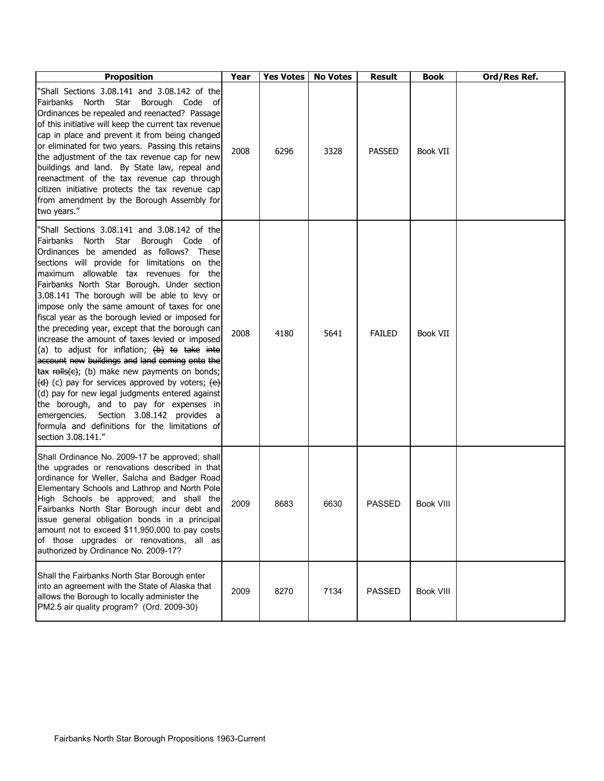| <b>Proposition</b>                                                                                                                                                                                                                                                                                                                                                                                                                                                                                                                                                                                                                                                                                                                                                                                                                                                                                                                                                                                                                   | Year | <b>Yes Votes</b> | <b>No Votes</b> | <b>Result</b> | Book             | Ord/Res Ref. |
|--------------------------------------------------------------------------------------------------------------------------------------------------------------------------------------------------------------------------------------------------------------------------------------------------------------------------------------------------------------------------------------------------------------------------------------------------------------------------------------------------------------------------------------------------------------------------------------------------------------------------------------------------------------------------------------------------------------------------------------------------------------------------------------------------------------------------------------------------------------------------------------------------------------------------------------------------------------------------------------------------------------------------------------|------|------------------|-----------------|---------------|------------------|--------------|
| "Shall Sections 3.08.141 and 3.08.142 of the<br>Fairbanks North Star Borough Code of<br>Ordinances be repealed and reenacted? Passage<br>of this initiative will keep the current tax revenue<br>cap in place and prevent it from being changed<br>or eliminated for two years. Passing this retains<br>the adjustment of the tax revenue cap for new<br>buildings and land. By State law, repeal and<br>reenactment of the tax revenue cap through<br>citizen initiative protects the tax revenue cap<br>from amendment by the Borough Assembly for<br>two years."                                                                                                                                                                                                                                                                                                                                                                                                                                                                  | 2008 | 6296             | 3328            | <b>PASSED</b> | <b>Book VII</b>  |              |
| "Shall Sections 3.08.141 and 3.08.142 of the<br>Fairbanks North Star<br>Borough Code of<br>Ordinances be amended as follows? These<br>sections will provide for limitations on the<br>maximum allowable tax revenues for<br>the<br>Fairbanks North Star Borough. Under section<br>3.08.141 The borough will be able to levy or<br>impose only the same amount of taxes for one<br>fiscal year as the borough levied or imposed for<br>the preceding year, except that the borough can<br>increase the amount of taxes levied or imposed<br>(a) to adjust for inflation; $(b)$ to take into<br>account new buildings and land coming onto the<br>$\frac{1}{2}$ ax rolls(c); (b) make new payments on bonds;<br>$\left(\frac{d}{d}\right)$ (c) pay for services approved by voters; $\left(\frac{e}{d}\right)$<br>(d) pay for new legal judgments entered against<br>the borough, and to pay for expenses in<br>Section 3.08.142 provides<br>emergencies.<br>a<br>formula and definitions for the limitations of<br>section 3.08.141." | 2008 | 4180             | 5641            | <b>FAILED</b> | <b>Book VII</b>  |              |
| Shall Ordinance No. 2009-17 be approved; shall<br>the upgrades or renovations described in that<br>ordinance for Weller, Salcha and Badger Road<br>Elementary Schools and Lathrop and North Pole<br>High Schools be approved; and shall the<br>Fairbanks North Star Borough incur debt and<br>issue general obligation bonds in a principal<br>amount not to exceed \$11,950,000 to pay costs<br>of those upgrades or renovations, all as<br>authorized by Ordinance No. 2009-17?                                                                                                                                                                                                                                                                                                                                                                                                                                                                                                                                                    | 2009 | 8683             | 6630            | <b>PASSED</b> | <b>Book VIII</b> |              |
| Shall the Fairbanks North Star Borough enter<br>into an agreement with the State of Alaska that<br>allows the Borough to locally administer the<br>PM2.5 air quality program? (Ord. 2009-30)                                                                                                                                                                                                                                                                                                                                                                                                                                                                                                                                                                                                                                                                                                                                                                                                                                         | 2009 | 8270             | 7134            | <b>PASSED</b> | <b>Book VIII</b> |              |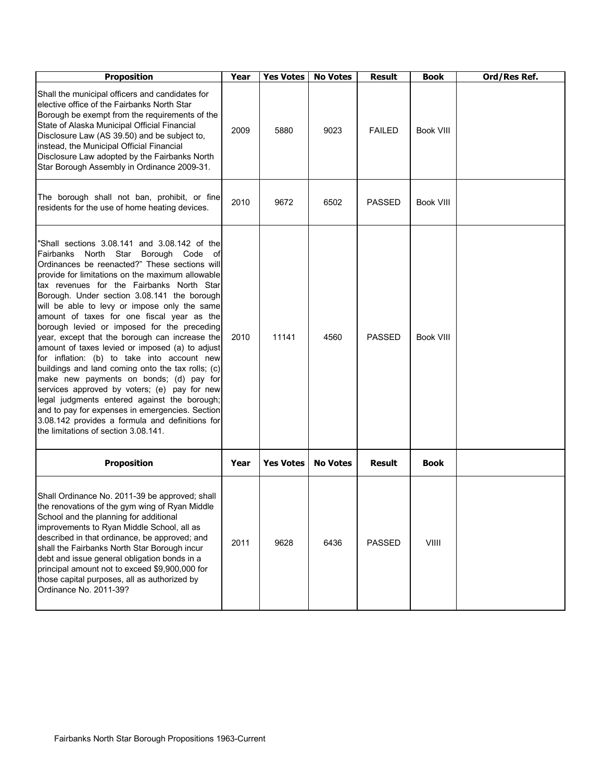| <b>Proposition</b>                                                                                                                                                                                                                                                                                                                                                                                                                                                                                                                                                                                                                                                                                                                                                                                                                                                                                                                      | Year | <b>Yes Votes</b> | <b>No Votes</b> | <b>Result</b> | <b>Book</b>      | Ord/Res Ref. |
|-----------------------------------------------------------------------------------------------------------------------------------------------------------------------------------------------------------------------------------------------------------------------------------------------------------------------------------------------------------------------------------------------------------------------------------------------------------------------------------------------------------------------------------------------------------------------------------------------------------------------------------------------------------------------------------------------------------------------------------------------------------------------------------------------------------------------------------------------------------------------------------------------------------------------------------------|------|------------------|-----------------|---------------|------------------|--------------|
| Shall the municipal officers and candidates for<br>elective office of the Fairbanks North Star<br>Borough be exempt from the requirements of the<br>State of Alaska Municipal Official Financial<br>Disclosure Law (AS 39.50) and be subject to,<br>instead, the Municipal Official Financial<br>Disclosure Law adopted by the Fairbanks North<br>Star Borough Assembly in Ordinance 2009-31.                                                                                                                                                                                                                                                                                                                                                                                                                                                                                                                                           | 2009 | 5880             | 9023            | <b>FAILED</b> | Book VIII        |              |
| The borough shall not ban, prohibit, or fine<br>residents for the use of home heating devices.                                                                                                                                                                                                                                                                                                                                                                                                                                                                                                                                                                                                                                                                                                                                                                                                                                          | 2010 | 9672             | 6502            | <b>PASSED</b> | <b>Book VIII</b> |              |
| "Shall sections 3.08.141 and 3.08.142 of the<br>Fairbanks North Star Borough Code<br>of<br>Ordinances be reenacted?" These sections will<br>provide for limitations on the maximum allowable<br>tax revenues for the Fairbanks North Star<br>Borough. Under section 3.08.141 the borough<br>will be able to levy or impose only the same<br>amount of taxes for one fiscal year as the<br>borough levied or imposed for the preceding<br>year, except that the borough can increase the<br>amount of taxes levied or imposed (a) to adjust<br>for inflation: (b) to take into account new<br>buildings and land coming onto the tax rolls; (c)<br>make new payments on bonds; (d) pay for<br>services approved by voters; (e) pay for new<br>legal judgments entered against the borough;<br>and to pay for expenses in emergencies. Section<br>3.08.142 provides a formula and definitions for<br>the limitations of section 3.08.141. | 2010 | 11141            | 4560            | <b>PASSED</b> | Book VIII        |              |
| <b>Proposition</b>                                                                                                                                                                                                                                                                                                                                                                                                                                                                                                                                                                                                                                                                                                                                                                                                                                                                                                                      | Year | <b>Yes Votes</b> | <b>No Votes</b> | <b>Result</b> | <b>Book</b>      |              |
| Shall Ordinance No. 2011-39 be approved; shall<br>the renovations of the gym wing of Ryan Middle<br>School and the planning for additional<br>improvements to Ryan Middle School, all as<br>described in that ordinance, be approved; and<br>shall the Fairbanks North Star Borough incur<br>debt and issue general obligation bonds in a<br>principal amount not to exceed \$9,900,000 for<br>those capital purposes, all as authorized by<br>Ordinance No. 2011-39?                                                                                                                                                                                                                                                                                                                                                                                                                                                                   | 2011 | 9628             | 6436            | <b>PASSED</b> | VIIII            |              |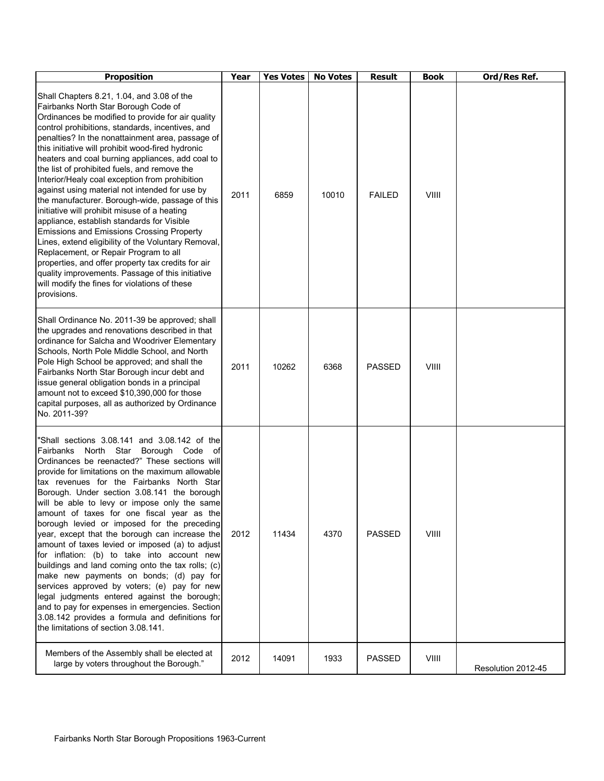| <b>Proposition</b>                                                                                                                                                                                                                                                                                                                                                                                                                                                                                                                                                                                                                                                                                                                                                                                                                                                                                                                                                                          | Year | <b>Yes Votes</b> | <b>No Votes</b> | <b>Result</b> | <b>Book</b> | Ord/Res Ref.       |
|---------------------------------------------------------------------------------------------------------------------------------------------------------------------------------------------------------------------------------------------------------------------------------------------------------------------------------------------------------------------------------------------------------------------------------------------------------------------------------------------------------------------------------------------------------------------------------------------------------------------------------------------------------------------------------------------------------------------------------------------------------------------------------------------------------------------------------------------------------------------------------------------------------------------------------------------------------------------------------------------|------|------------------|-----------------|---------------|-------------|--------------------|
| Shall Chapters 8.21, 1.04, and 3.08 of the<br>Fairbanks North Star Borough Code of<br>Ordinances be modified to provide for air quality<br>control prohibitions, standards, incentives, and<br>penalties? In the nonattainment area, passage of<br>this initiative will prohibit wood-fired hydronic<br>heaters and coal burning appliances, add coal to<br>the list of prohibited fuels, and remove the<br>Interior/Healy coal exception from prohibition<br>against using material not intended for use by<br>the manufacturer. Borough-wide, passage of this<br>initiative will prohibit misuse of a heating<br>appliance, establish standards for Visible<br><b>Emissions and Emissions Crossing Property</b><br>Lines, extend eligibility of the Voluntary Removal,<br>Replacement, or Repair Program to all<br>properties, and offer property tax credits for air<br>quality improvements. Passage of this initiative<br>will modify the fines for violations of these<br>provisions. | 2011 | 6859             | 10010           | <b>FAILED</b> | VIIII       |                    |
| Shall Ordinance No. 2011-39 be approved; shall<br>the upgrades and renovations described in that<br>ordinance for Salcha and Woodriver Elementary<br>Schools, North Pole Middle School, and North<br>Pole High School be approved; and shall the<br>Fairbanks North Star Borough incur debt and<br>issue general obligation bonds in a principal<br>amount not to exceed \$10,390,000 for those<br>capital purposes, all as authorized by Ordinance<br>No. 2011-39?                                                                                                                                                                                                                                                                                                                                                                                                                                                                                                                         | 2011 | 10262            | 6368            | <b>PASSED</b> | VIIII       |                    |
| "Shall sections 3.08.141 and 3.08.142 of the<br>Fairbanks North Star<br>Borough Code<br>оf<br>Ordinances be reenacted?" These sections will<br>provide for limitations on the maximum allowable<br>tax revenues for the Fairbanks North Star<br>Borough. Under section 3.08.141 the borough<br>will be able to levy or impose only the same<br>amount of taxes for one fiscal year as the<br>borough levied or imposed for the preceding<br>year, except that the borough can increase the<br>amount of taxes levied or imposed (a) to adjust<br>for inflation: (b) to take into account new<br>buildings and land coming onto the tax rolls; (c)<br>make new payments on bonds; (d) pay for<br>services approved by voters; (e) pay for new<br>legal judgments entered against the borough;<br>and to pay for expenses in emergencies. Section<br>3.08.142 provides a formula and definitions for<br>the limitations of section 3.08.141.                                                  | 2012 | 11434            | 4370            | <b>PASSED</b> | VIIII       |                    |
| Members of the Assembly shall be elected at<br>large by voters throughout the Borough."                                                                                                                                                                                                                                                                                                                                                                                                                                                                                                                                                                                                                                                                                                                                                                                                                                                                                                     | 2012 | 14091            | 1933            | <b>PASSED</b> | VIIII       | Resolution 2012-45 |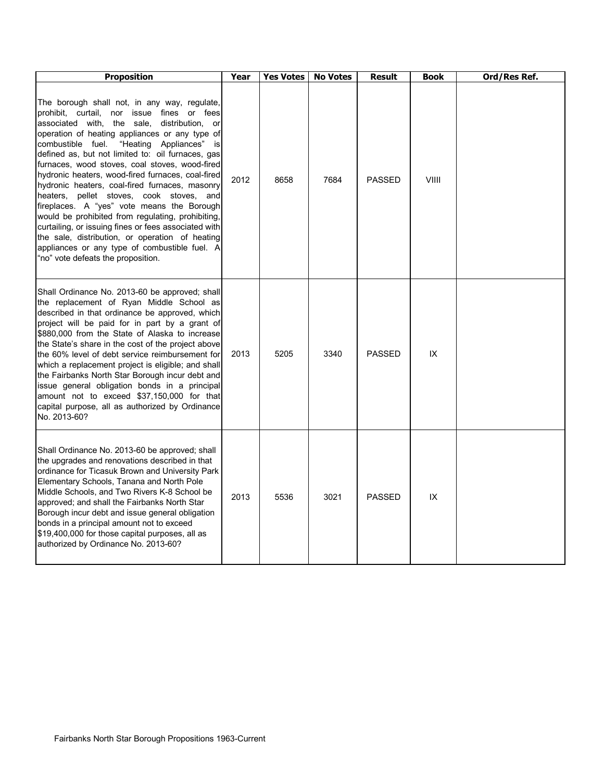| <b>Proposition</b>                                                                                                                                                                                                                                                                                                                                                                                                                                                                                                                                                                                                                                                                                                                                                                                                   | Year | <b>Yes Votes</b> | <b>No Votes</b> | <b>Result</b> | <b>Book</b> | Ord/Res Ref. |
|----------------------------------------------------------------------------------------------------------------------------------------------------------------------------------------------------------------------------------------------------------------------------------------------------------------------------------------------------------------------------------------------------------------------------------------------------------------------------------------------------------------------------------------------------------------------------------------------------------------------------------------------------------------------------------------------------------------------------------------------------------------------------------------------------------------------|------|------------------|-----------------|---------------|-------------|--------------|
| The borough shall not, in any way, regulate,<br>prohibit, curtail, nor issue fines or fees<br>associated with, the sale,<br>distribution,<br>or<br>operation of heating appliances or any type of<br>"Heating Appliances"<br>combustible fuel.<br>isl<br>defined as, but not limited to: oil furnaces, gas<br>furnaces, wood stoves, coal stoves, wood-fired<br>hydronic heaters, wood-fired furnaces, coal-fired<br>hydronic heaters, coal-fired furnaces, masonry<br>heaters, pellet stoves, cook stoves, and<br>fireplaces. A "yes" vote means the Borough<br>would be prohibited from regulating, prohibiting,<br>curtailing, or issuing fines or fees associated with<br>the sale, distribution, or operation of heating<br>appliances or any type of combustible fuel. A<br>"no" vote defeats the proposition. | 2012 | 8658             | 7684            | <b>PASSED</b> | VIIII       |              |
| Shall Ordinance No. 2013-60 be approved; shall<br>the replacement of Ryan Middle School as<br>described in that ordinance be approved, which<br>project will be paid for in part by a grant of<br>\$880,000 from the State of Alaska to increase<br>the State's share in the cost of the project above<br>the 60% level of debt service reimbursement for<br>which a replacement project is eligible; and shall<br>the Fairbanks North Star Borough incur debt and<br>issue general obligation bonds in a principal<br>amount not to exceed \$37,150,000 for that<br>capital purpose, all as authorized by Ordinance<br>No. 2013-60?                                                                                                                                                                                 | 2013 | 5205             | 3340            | <b>PASSED</b> | IX          |              |
| Shall Ordinance No. 2013-60 be approved; shall<br>the upgrades and renovations described in that<br>ordinance for Ticasuk Brown and University Park<br>Elementary Schools, Tanana and North Pole<br>Middle Schools, and Two Rivers K-8 School be<br>approved; and shall the Fairbanks North Star<br>Borough incur debt and issue general obligation<br>bonds in a principal amount not to exceed<br>\$19,400,000 for those capital purposes, all as<br>authorized by Ordinance No. 2013-60?                                                                                                                                                                                                                                                                                                                          | 2013 | 5536             | 3021            | <b>PASSED</b> | IX          |              |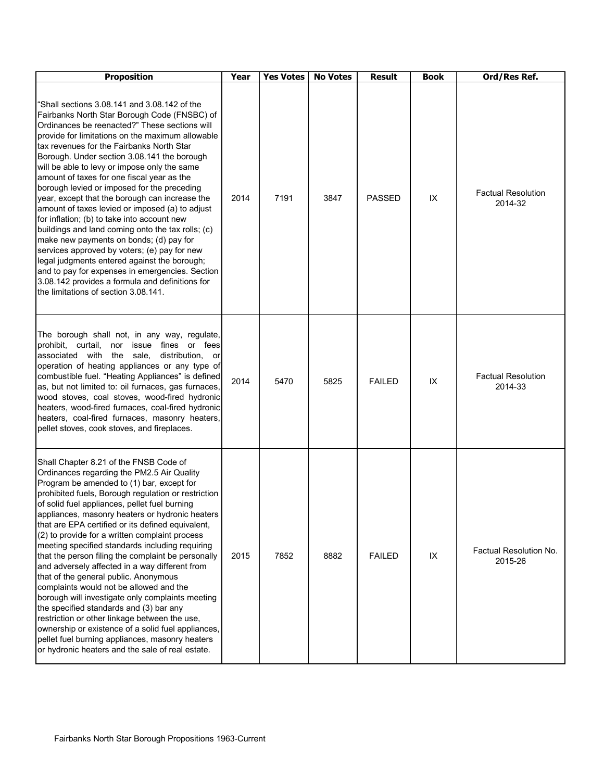| <b>Proposition</b>                                                                                                                                                                                                                                                                                                                                                                                                                                                                                                                                                                                                                                                                                                                                                                                                                                                                                                                                              | Year | <b>Yes Votes</b> | <b>No Votes</b> | <b>Result</b> | <b>Book</b> | Ord/Res Ref.                         |
|-----------------------------------------------------------------------------------------------------------------------------------------------------------------------------------------------------------------------------------------------------------------------------------------------------------------------------------------------------------------------------------------------------------------------------------------------------------------------------------------------------------------------------------------------------------------------------------------------------------------------------------------------------------------------------------------------------------------------------------------------------------------------------------------------------------------------------------------------------------------------------------------------------------------------------------------------------------------|------|------------------|-----------------|---------------|-------------|--------------------------------------|
| 'Shall sections 3.08.141 and 3.08.142 of the<br>Fairbanks North Star Borough Code (FNSBC) of<br>Ordinances be reenacted?" These sections will<br>provide for limitations on the maximum allowable<br>tax revenues for the Fairbanks North Star<br>Borough. Under section 3.08.141 the borough<br>will be able to levy or impose only the same<br>amount of taxes for one fiscal year as the<br>borough levied or imposed for the preceding<br>year, except that the borough can increase the<br>amount of taxes levied or imposed (a) to adjust<br>for inflation; (b) to take into account new<br>buildings and land coming onto the tax rolls; (c)<br>make new payments on bonds; (d) pay for<br>services approved by voters; (e) pay for new<br>legal judgments entered against the borough;<br>and to pay for expenses in emergencies. Section<br>3.08.142 provides a formula and definitions for<br>the limitations of section 3.08.141.                    | 2014 | 7191             | 3847            | <b>PASSED</b> | IX          | <b>Factual Resolution</b><br>2014-32 |
| The borough shall not, in any way, regulate,<br>prohibit, curtail, nor issue fines or fees<br>associated with the sale,<br>distribution,<br>or<br>operation of heating appliances or any type of<br>combustible fuel. "Heating Appliances" is defined<br>as, but not limited to: oil furnaces, gas furnaces,<br>wood stoves, coal stoves, wood-fired hydronic<br>heaters, wood-fired furnaces, coal-fired hydronic<br>heaters, coal-fired furnaces, masonry heaters,<br>pellet stoves, cook stoves, and fireplaces.                                                                                                                                                                                                                                                                                                                                                                                                                                             | 2014 | 5470             | 5825            | <b>FAILED</b> | IX          | <b>Factual Resolution</b><br>2014-33 |
| Shall Chapter 8.21 of the FNSB Code of<br>Ordinances regarding the PM2.5 Air Quality<br>Program be amended to (1) bar, except for<br>prohibited fuels, Borough regulation or restriction<br>of solid fuel appliances, pellet fuel burning<br>appliances, masonry heaters or hydronic heaters<br>that are EPA certified or its defined equivalent,<br>(2) to provide for a written complaint process<br>meeting specified standards including requiring<br>that the person filing the complaint be personally<br>and adversely affected in a way different from<br>that of the general public. Anonymous<br>complaints would not be allowed and the<br>borough will investigate only complaints meeting<br>the specified standards and (3) bar any<br>restriction or other linkage between the use,<br>ownership or existence of a solid fuel appliances,<br>pellet fuel burning appliances, masonry heaters<br>or hydronic heaters and the sale of real estate. | 2015 | 7852             | 8882            | <b>FAILED</b> | IX          | Factual Resolution No.<br>2015-26    |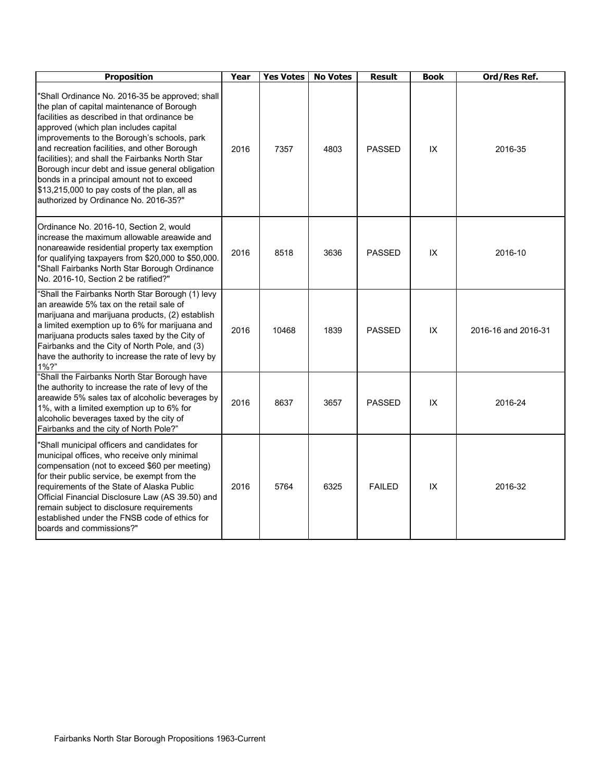| <b>Proposition</b>                                                                                                                                                                                                                                                                                                                                                                                                                                                                                                                 | Year | <b>Yes Votes</b> | <b>No Votes</b> | <b>Result</b> | <b>Book</b> | Ord/Res Ref.        |
|------------------------------------------------------------------------------------------------------------------------------------------------------------------------------------------------------------------------------------------------------------------------------------------------------------------------------------------------------------------------------------------------------------------------------------------------------------------------------------------------------------------------------------|------|------------------|-----------------|---------------|-------------|---------------------|
| "Shall Ordinance No. 2016-35 be approved; shall<br>the plan of capital maintenance of Borough<br>facilities as described in that ordinance be<br>approved (which plan includes capital<br>improvements to the Borough's schools, park<br>and recreation facilities, and other Borough<br>facilities); and shall the Fairbanks North Star<br>Borough incur debt and issue general obligation<br>bonds in a principal amount not to exceed<br>\$13,215,000 to pay costs of the plan, all as<br>authorized by Ordinance No. 2016-35?" | 2016 | 7357             | 4803            | <b>PASSED</b> | IX          | 2016-35             |
| Ordinance No. 2016-10, Section 2, would<br>increase the maximum allowable areawide and<br>nonareawide residential property tax exemption<br>for qualifying taxpayers from \$20,000 to \$50,000.<br>"Shall Fairbanks North Star Borough Ordinance<br>No. 2016-10, Section 2 be ratified?"                                                                                                                                                                                                                                           | 2016 | 8518             | 3636            | <b>PASSED</b> | IX          | 2016-10             |
| "Shall the Fairbanks North Star Borough (1) levy<br>an areawide 5% tax on the retail sale of<br>marijuana and marijuana products, (2) establish<br>a limited exemption up to 6% for marijuana and<br>marijuana products sales taxed by the City of<br>Fairbanks and the City of North Pole, and (3)<br>have the authority to increase the rate of levy by<br>$1\%$ ?"                                                                                                                                                              | 2016 | 10468            | 1839            | <b>PASSED</b> | IX          | 2016-16 and 2016-31 |
| "Shall the Fairbanks North Star Borough have<br>the authority to increase the rate of levy of the<br>areawide 5% sales tax of alcoholic beverages by<br>1%, with a limited exemption up to 6% for<br>alcoholic beverages taxed by the city of<br>Fairbanks and the city of North Pole?"                                                                                                                                                                                                                                            | 2016 | 8637             | 3657            | <b>PASSED</b> | IX          | 2016-24             |
| "Shall municipal officers and candidates for<br>municipal offices, who receive only minimal<br>compensation (not to exceed \$60 per meeting)<br>for their public service, be exempt from the<br>requirements of the State of Alaska Public<br>Official Financial Disclosure Law (AS 39.50) and<br>remain subject to disclosure requirements<br>established under the FNSB code of ethics for<br>boards and commissions?"                                                                                                           | 2016 | 5764             | 6325            | <b>FAILED</b> | IX          | 2016-32             |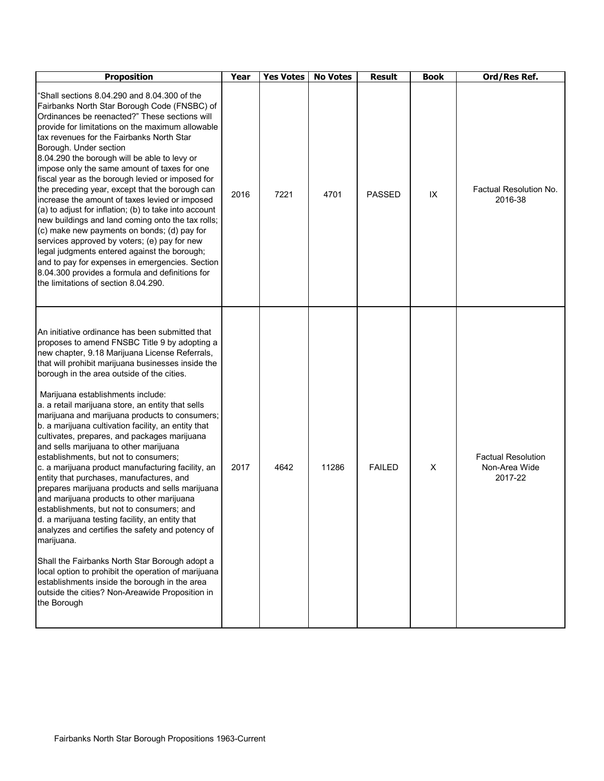| <b>Proposition</b>                                                                                                                                                                                                                                                                                                                                                                                                                                                                                                                                                                                                                                                                                                                                                                                                                                                                                                                                                                                                                                                                                                                                                                          | Year | Yes Votes | <b>No Votes</b> | <b>Result</b> | <b>Book</b> | Ord/Res Ref.                                          |
|---------------------------------------------------------------------------------------------------------------------------------------------------------------------------------------------------------------------------------------------------------------------------------------------------------------------------------------------------------------------------------------------------------------------------------------------------------------------------------------------------------------------------------------------------------------------------------------------------------------------------------------------------------------------------------------------------------------------------------------------------------------------------------------------------------------------------------------------------------------------------------------------------------------------------------------------------------------------------------------------------------------------------------------------------------------------------------------------------------------------------------------------------------------------------------------------|------|-----------|-----------------|---------------|-------------|-------------------------------------------------------|
| Shall sections 8,04,290 and 8,04,300 of the<br>Fairbanks North Star Borough Code (FNSBC) of<br>Ordinances be reenacted?" These sections will<br>provide for limitations on the maximum allowable<br>tax revenues for the Fairbanks North Star<br>Borough. Under section<br>8.04.290 the borough will be able to levy or<br>impose only the same amount of taxes for one<br>fiscal year as the borough levied or imposed for<br>the preceding year, except that the borough can<br>increase the amount of taxes levied or imposed<br>(a) to adjust for inflation; (b) to take into account<br>new buildings and land coming onto the tax rolls;<br>(c) make new payments on bonds; (d) pay for<br>services approved by voters; (e) pay for new<br>legal judgments entered against the borough;<br>and to pay for expenses in emergencies. Section<br>8.04.300 provides a formula and definitions for<br>the limitations of section 8.04.290.                                                                                                                                                                                                                                                 | 2016 | 7221      | 4701            | <b>PASSED</b> | IX          | Factual Resolution No.<br>2016-38                     |
| An initiative ordinance has been submitted that<br>proposes to amend FNSBC Title 9 by adopting a<br>new chapter, 9.18 Marijuana License Referrals,<br>that will prohibit marijuana businesses inside the<br>borough in the area outside of the cities.<br>Marijuana establishments include:<br>a. a retail marijuana store, an entity that sells<br>marijuana and marijuana products to consumers;<br>b. a marijuana cultivation facility, an entity that<br>cultivates, prepares, and packages marijuana<br>and sells marijuana to other marijuana<br>establishments, but not to consumers;<br>c. a marijuana product manufacturing facility, an<br>entity that purchases, manufactures, and<br>prepares marijuana products and sells marijuana<br>and marijuana products to other marijuana<br>establishments, but not to consumers; and<br>d. a marijuana testing facility, an entity that<br>analyzes and certifies the safety and potency of<br>marijuana.<br>Shall the Fairbanks North Star Borough adopt a<br>local option to prohibit the operation of marijuana<br>establishments inside the borough in the area<br>outside the cities? Non-Areawide Proposition in<br>the Borough | 2017 | 4642      | 11286           | <b>FAILED</b> | X           | <b>Factual Resolution</b><br>Non-Area Wide<br>2017-22 |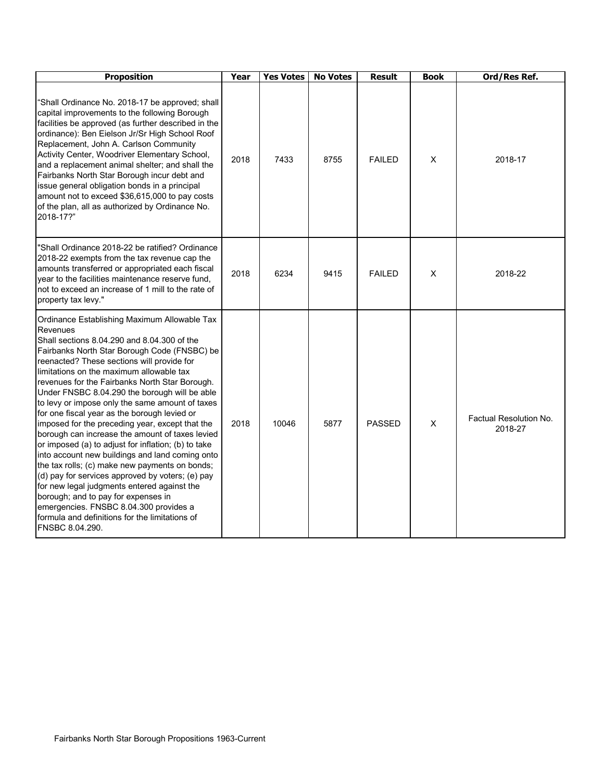| <b>Proposition</b>                                                                                                                                                                                                                                                                                                                                                                                                                                                                                                                                                                                                                                                                                                                                                                                                                                                                                                                                                                 | Year | <b>Yes Votes</b> | <b>No Votes</b> | <b>Result</b> | <b>Book</b>    | Ord/Res Ref.                      |
|------------------------------------------------------------------------------------------------------------------------------------------------------------------------------------------------------------------------------------------------------------------------------------------------------------------------------------------------------------------------------------------------------------------------------------------------------------------------------------------------------------------------------------------------------------------------------------------------------------------------------------------------------------------------------------------------------------------------------------------------------------------------------------------------------------------------------------------------------------------------------------------------------------------------------------------------------------------------------------|------|------------------|-----------------|---------------|----------------|-----------------------------------|
| "Shall Ordinance No. 2018-17 be approved; shall<br>capital improvements to the following Borough<br>facilities be approved (as further described in the<br>ordinance): Ben Eielson Jr/Sr High School Roof<br>Replacement, John A. Carlson Community<br>Activity Center, Woodriver Elementary School,<br>and a replacement animal shelter; and shall the<br>Fairbanks North Star Borough incur debt and<br>issue general obligation bonds in a principal<br>amount not to exceed \$36,615,000 to pay costs<br>of the plan, all as authorized by Ordinance No.<br>2018-17?"                                                                                                                                                                                                                                                                                                                                                                                                          | 2018 | 7433             | 8755            | <b>FAILED</b> | X              | 2018-17                           |
| 'Shall Ordinance 2018-22 be ratified? Ordinance<br>2018-22 exempts from the tax revenue cap the<br>amounts transferred or appropriated each fiscal<br>year to the facilities maintenance reserve fund,<br>not to exceed an increase of 1 mill to the rate of<br>property tax levy."                                                                                                                                                                                                                                                                                                                                                                                                                                                                                                                                                                                                                                                                                                | 2018 | 6234             | 9415            | <b>FAILED</b> | х              | 2018-22                           |
| Ordinance Establishing Maximum Allowable Tax<br>Revenues<br>Shall sections 8.04.290 and 8.04.300 of the<br>Fairbanks North Star Borough Code (FNSBC) be<br>reenacted? These sections will provide for<br>limitations on the maximum allowable tax<br>revenues for the Fairbanks North Star Borough.<br>Under FNSBC 8.04.290 the borough will be able<br>to levy or impose only the same amount of taxes<br>for one fiscal year as the borough levied or<br>imposed for the preceding year, except that the<br>borough can increase the amount of taxes levied<br>or imposed (a) to adjust for inflation; (b) to take<br>into account new buildings and land coming onto<br>the tax rolls; (c) make new payments on bonds;<br>(d) pay for services approved by voters; (e) pay<br>for new legal judgments entered against the<br>borough; and to pay for expenses in<br>emergencies. FNSBC 8.04.300 provides a<br>formula and definitions for the limitations of<br>FNSBC 8.04.290. | 2018 | 10046            | 5877            | <b>PASSED</b> | $\pmb{\times}$ | Factual Resolution No.<br>2018-27 |